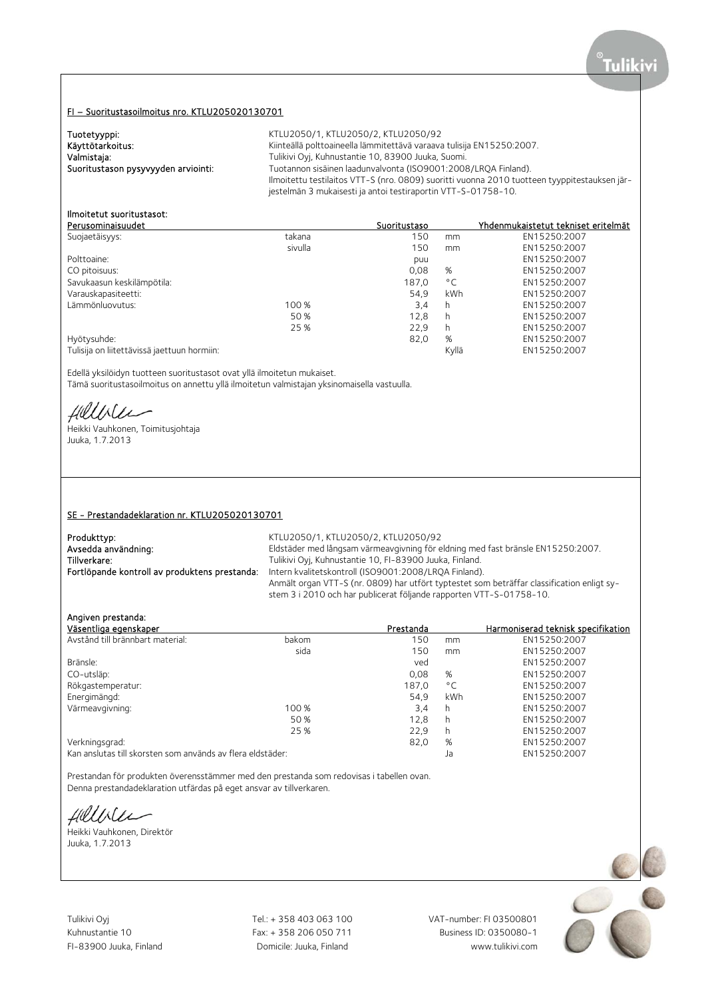# FI – Suoritustasoilmoitus nro. KTLU205020130701

| Tuotetyyppi:                        | KTLU2050/1, KTLU2050/2, KTLU2050/92                                                          |
|-------------------------------------|----------------------------------------------------------------------------------------------|
| Käyttötarkoitus:                    | Kiinteällä polttoaineella lämmitettävä varaava tulisija EN15250:2007.                        |
| Valmistaja:                         | Tulikivi Oyi, Kuhnustantie 10, 83900 Juuka, Suomi.                                           |
| Suoritustason pysyvyyden arviointi: | Tuotannon sisäinen laadunvalvonta (ISO9001:2008/LROA Finland).                               |
|                                     | Ilmoitettu testilaitos VTT-S (nro. 0809) suoritti vuonna 2010 tuotteen tyyppitestauksen jär- |
|                                     | jestelmän 3 mukaisesti ja antoi testiraportin VTT-S-01758-10.                                |

# Ilmoitetut suoritustasot:

| Perusominaisuudet                           |         | Suoritustaso |              | Yhdenmukaistetut tekniset eritelmät |
|---------------------------------------------|---------|--------------|--------------|-------------------------------------|
| Suojaetäisyys:                              | takana  | 150          | mm           | EN15250:2007                        |
|                                             | sivulla | 150          | mm           | EN15250:2007                        |
| Polttoaine:                                 |         | puu          |              | EN15250:2007                        |
| CO pitoisuus:                               |         | 0,08         | %            | EN15250:2007                        |
| Savukaasun keskilämpötila:                  |         | 187,0        | $^{\circ}$ C | EN15250:2007                        |
| Varauskapasiteetti:                         |         | 54.9         | kWh          | EN15250:2007                        |
| Lämmönluovutus:                             | 100 %   | 3,4          | h            | EN15250:2007                        |
|                                             | 50 %    | 12.8         | h            | EN15250:2007                        |
|                                             | 25 %    | 22,9         | h            | EN15250:2007                        |
| Hyötysuhde:                                 |         | 82,0         | %            | EN15250:2007                        |
| Tulisija on liitettävissä jaettuun hormiin: |         |              | Kyllä        | EN15250:2007                        |

Edellä yksilöidyn tuotteen suoritustasot ovat yllä ilmoitetun mukaiset.

Tämä suoritustasoilmoitus on annettu yllä ilmoitetun valmistajan yksinomaisella vastuulla.

Hillble

Heikki Vauhkonen, Toimitusjohtaja Juuka, 1.7.2013

### SE - Prestandadeklaration nr. KTLU205020130701

| Produkttyp:                                   | KTLU2050/1, KTLU2050/2, KTLU2050/92                                                                                                                               |
|-----------------------------------------------|-------------------------------------------------------------------------------------------------------------------------------------------------------------------|
| Avsedda användning:                           | Eldstäder med långsam värmeavgivning för eldning med fast bränsle EN15250:2007.                                                                                   |
| Tillverkare:                                  | Tulikivi Oyj, Kuhnustantie 10, FI-83900 Juuka, Finland.                                                                                                           |
| Fortlöpande kontroll av produktens prestanda: | Intern kvalitetskontroll (ISO9001:2008/LROA Finland).                                                                                                             |
|                                               | Anmält organ VTT-S (nr. 0809) har utfört typtestet som beträffar classification enligt sy-<br>stem 3 i 2010 och har publicerat följande rapporten VTT-S-01758-10. |

## Angiven prestanda:

| Väsentliga egenskaper                                      |       | Prestanda |              | Harmoniserad teknisk specifikation |
|------------------------------------------------------------|-------|-----------|--------------|------------------------------------|
| Avstånd till brännbart material:                           | bakom | 150       | mm           | EN15250:2007                       |
|                                                            | sida  | 150       | mm           | EN15250:2007                       |
| Bränsle:                                                   |       | ved       |              | EN15250:2007                       |
| CO-utsläp:                                                 |       | 0,08      | %            | EN15250:2007                       |
| Rökgastemperatur:                                          |       | 187.0     | $^{\circ}$ C | EN15250:2007                       |
| Energimängd:                                               |       | 54.9      | kWh          | EN15250:2007                       |
| Värmeavgivning:                                            | 100 % | 3,4       | h            | EN15250:2007                       |
|                                                            | 50 %  | 12,8      | h            | EN15250:2007                       |
|                                                            | 25 %  | 22,9      | h            | EN15250:2007                       |
| Verkningsgrad:                                             |       | 82,0      | %            | EN15250:2007                       |
| Kan anslutas till skorsten som används av flera eldstäder: |       |           | Ja           | EN15250:2007                       |

Prestandan för produkten överensstämmer med den prestanda som redovisas i tabellen ovan. Denna prestandadeklaration utfärdas på eget ansvar av tillverkaren.

fillble

Heikki Vauhkonen, Direktör Juuka, 1.7.2013

Tulikivi Oyj Tel.: + 358 403 063 100 VAT-number: FI 03500801

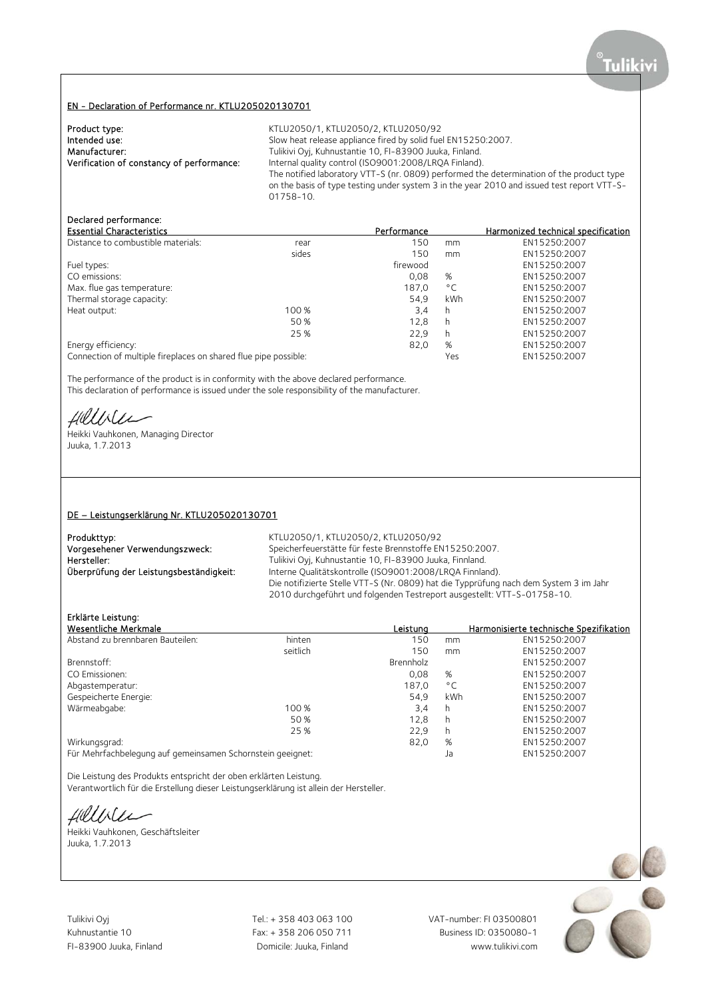### EN - Declaration of Performance nr. KTLU205020130701

| Product type:                             | KTLU2050/1, KTLU2050/2, KTLU2050/92                                                        |
|-------------------------------------------|--------------------------------------------------------------------------------------------|
| Intended use:                             | Slow heat release appliance fired by solid fuel EN15250:2007.                              |
| Manufacturer:                             | Tulikivi Oyj, Kuhnustantie 10, FI-83900 Juuka, Finland.                                    |
| Verification of constancy of performance: | Internal quality control (ISO9001:2008/LROA Finland).                                      |
|                                           | The notified laboratory VTT-S (nr. 0809) performed the determination of the product type   |
|                                           | on the basis of type testing under system 3 in the year 2010 and issued test report VTT-S- |
|                                           | 01758-10.                                                                                  |

## Declared performance:

| <b>Essential Characteristics</b>                                |       | Performance |              | Harmonized technical specification |
|-----------------------------------------------------------------|-------|-------------|--------------|------------------------------------|
| Distance to combustible materials:                              | rear  | 150         | mm           | EN15250:2007                       |
|                                                                 | sides | 150         | mm           | EN15250:2007                       |
| Fuel types:                                                     |       | firewood    |              | EN15250:2007                       |
| CO emissions:                                                   |       | 0.08        | %            | EN15250:2007                       |
| Max. flue gas temperature:                                      |       | 187.0       | $^{\circ}$ C | EN15250:2007                       |
| Thermal storage capacity:                                       |       | 54.9        | kWh          | EN15250:2007                       |
| Heat output:                                                    | 100 % | 3,4         | h            | EN15250:2007                       |
|                                                                 | 50 %  | 12,8        | h            | EN15250:2007                       |
|                                                                 | 25 %  | 22.9        | h            | EN15250:2007                       |
| Energy efficiency:                                              |       | 82,0        | %            | EN15250:2007                       |
| Connection of multiple fireplaces on shared flue pipe possible: |       |             | Yes          | EN15250:2007                       |

The performance of the product is in conformity with the above declared performance. This declaration of performance is issued under the sole responsibility of the manufacturer.

filliler

Heikki Vauhkonen, Managing Director Juuka, 1.7.2013

### DE – Leistungserklärung Nr. KTLU205020130701

| Produkttyp:                             | KTLU2050/1, KTLU2050/2, KTLU2050/92                                                                                                                              |
|-----------------------------------------|------------------------------------------------------------------------------------------------------------------------------------------------------------------|
| Vorgesehener Verwendungszweck:          | Speicherfeuerstätte für feste Brennstoffe EN15250:2007.                                                                                                          |
| Hersteller:                             | Tulikivi Oyj, Kuhnustantie 10, FI-83900 Juuka, Finnland.                                                                                                         |
| Überprüfung der Leistungsbeständigkeit: | Interne Qualitätskontrolle (ISO9001:2008/LROA Finnland).                                                                                                         |
|                                         | Die notifizierte Stelle VTT-S (Nr. 0809) hat die Typprüfung nach dem System 3 im Jahr<br>2010 durchgeführt und folgenden Testreport ausgestellt: VTT-S-01758-10. |
|                                         |                                                                                                                                                                  |

# Erklärte Leistung:

| Wesentliche Merkmale                                       |          | Leistung  |              | Harmonisierte technische Spezifikation |
|------------------------------------------------------------|----------|-----------|--------------|----------------------------------------|
| Abstand zu brennbaren Bauteilen:                           | hinten   | 150       | mm           | EN15250:2007                           |
|                                                            | seitlich | 150       | mm           | EN15250:2007                           |
| Brennstoff:                                                |          | Brennholz |              | EN15250:2007                           |
| CO Emissionen:                                             |          | 0,08      | %            | EN15250:2007                           |
| Abgastemperatur:                                           |          | 187.0     | $^{\circ}$ C | EN15250:2007                           |
| Gespeicherte Energie:                                      |          | 54.9      | kWh          | EN15250:2007                           |
| Wärmeabgabe:                                               | 100 %    | 3,4       | h            | EN15250:2007                           |
|                                                            | 50 %     | 12,8      | h            | EN15250:2007                           |
|                                                            | 25 %     | 22,9      | h            | EN15250:2007                           |
| Wirkungsgrad:                                              |          | 82,0      | %            | EN15250:2007                           |
| Für Mehrfachbelegung auf gemeinsamen Schornstein geeignet: |          |           | Ja           | EN15250:2007                           |

Die Leistung des Produkts entspricht der oben erklärten Leistung.

Verantwortlich für die Erstellung dieser Leistungserklärung ist allein der Hersteller.

fillble

Heikki Vauhkonen, Geschäftsleiter Juuka, 1.7.2013

Tulikivi Oyj Tel.: + 358 403 063 100 VAT-number: FI 03500801

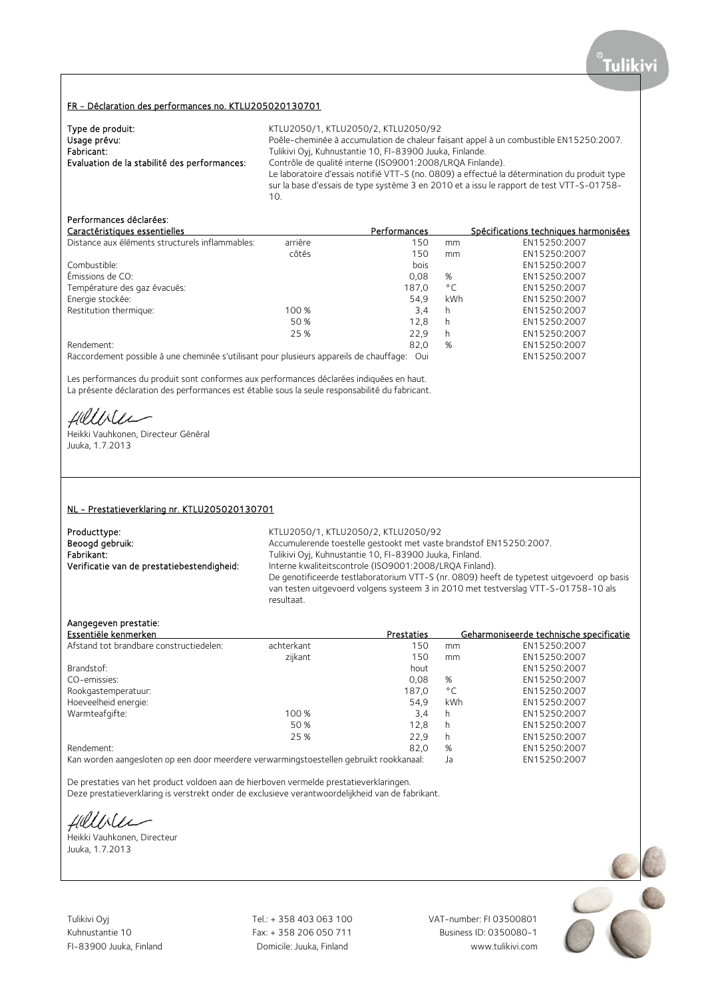### FR - Déclaration des performances no. KTLU205020130701

| Type de produit:                             | KTLU2050/1, KTLU2050/2, KTLU2050/92                                                          |
|----------------------------------------------|----------------------------------------------------------------------------------------------|
| Usage prévu:                                 | Poêle-cheminée à accumulation de chaleur faisant appel à un combustible EN15250:2007.        |
| Fabricant:                                   | Tulikivi Oyj, Kuhnustantie 10, FI-83900 Juuka, Finlande.                                     |
| Evaluation de la stabilité des performances: | Contrôle de qualité interne (ISO9001:2008/LRQA Finlande).                                    |
|                                              | Le laboratoire d'essais notifié VTT-S (no. 0809) a effectué la détermination du produit type |
|                                              | sur la base d'essais de type système 3 en 2010 et a issu le rapport de test VTT-S-01758-     |
|                                              | 10.                                                                                          |

# Performances déclarées:

|         | Performances |              | Spécifications techniques harmonisées |
|---------|--------------|--------------|---------------------------------------|
| arrière | 150          | mm           | EN15250:2007                          |
| côtés   | 150          | mm           | EN15250:2007                          |
|         | bois         |              | EN15250:2007                          |
|         | 0.08         | %            | EN15250:2007                          |
|         | 187.0        | $^{\circ}$ C | EN15250:2007                          |
|         | 54.9         | kWh          | EN15250:2007                          |
| 100 %   | 3,4          | h            | EN15250:2007                          |
| 50 %    | 12.8         | h            | EN15250:2007                          |
| 25 %    | 22.9         | h            | EN15250:2007                          |
|         | 82,0         | %            | EN15250:2007                          |
|         |              |              |                                       |

Raccordement possible à une cheminée s'utilisant pour plusieurs appareils de chauffage: Oui EN15250:2007

Les performances du produit sont conformes aux performances déclarées indiquées en haut. La présente déclaration des performances est établie sous la seule responsabilité du fabricant.

fillble

Heikki Vauhkonen, Directeur Général Juuka, 1.7.2013

#### NL - Prestatieverklaring nr. KTLU205020130701

Producttype: <br>
Beoogd gebruik: 
KTLU2050/1, KTLU2050/2, KTLU2050/92<br>
Accumulerende toestelle gestookt met vaste

Beoogd gebruik: <br>Accumulerende toestelle gestookt met vaste brandstof EN15250:2007.<br>Fabrikant: Tulikivi Oyi, Kuhnustantie 10, FI-83900 Juuka, Finland. Fabrikant: Tulikivi Oyj, Kuhnustantie 10, FI-83900 Juuka, Finland.<br>1. Tulikivi Oyj, Kuhnustantie 10, FI-83900 Juuka, Finland. Verificatie van de prestatiebestendigheid: Interne Interne kwaliteitscontrole (ISO9001:2008/LROA Finland). De genotificeerde testlaboratorium VTT-S (nr. 0809) heeft de typetest uitgevoerd op basis van testen uitgevoerd volgens systeem 3 in 2010 met testverslag VTT-S-01758-10 als resultaat.

## Aangegeven prestatie:

| Essentiële kenmerken                    |            | Prestaties |              | Geharmoniseerde technische specificatie |
|-----------------------------------------|------------|------------|--------------|-----------------------------------------|
| Afstand tot brandbare constructiedelen: | achterkant | 150        | mm           | EN15250:2007                            |
|                                         | zijkant    | 150        | mm           | EN15250:2007                            |
| Brandstof:                              |            | hout       |              | EN15250:2007                            |
| CO-emissies:                            |            | 0.08       | %            | EN15250:2007                            |
| Rookgastemperatuur:                     |            | 187.0      | $^{\circ}$ C | EN15250:2007                            |
| Hoeveelheid energie:                    |            | 54.9       | kWh          | EN15250:2007                            |
| Warmteafgifte:                          | 100 %      | 3,4        | h            | EN15250:2007                            |
|                                         | 50 %       | 12.8       | h            | EN15250:2007                            |
|                                         | 25 %       | 22.9       | h            | EN15250:2007                            |
| Rendement:                              |            | 82.0       | %            | EN15250:2007                            |
|                                         |            |            |              |                                         |

Kan worden aangesloten op een door meerdere verwarmingstoestellen gebruikt rookkanaal: Ja EN15250:2007

De prestaties van het product voldoen aan de hierboven vermelde prestatieverklaringen.

Deze prestatieverklaring is verstrekt onder de exclusieve verantwoordelijkheid van de fabrikant.

Hillble

Heikki Vauhkonen, Directeur Juuka, 1.7.2013

Tulikivi Oyj Tel.: + 358 403 063 100 VAT-number: FI 03500801

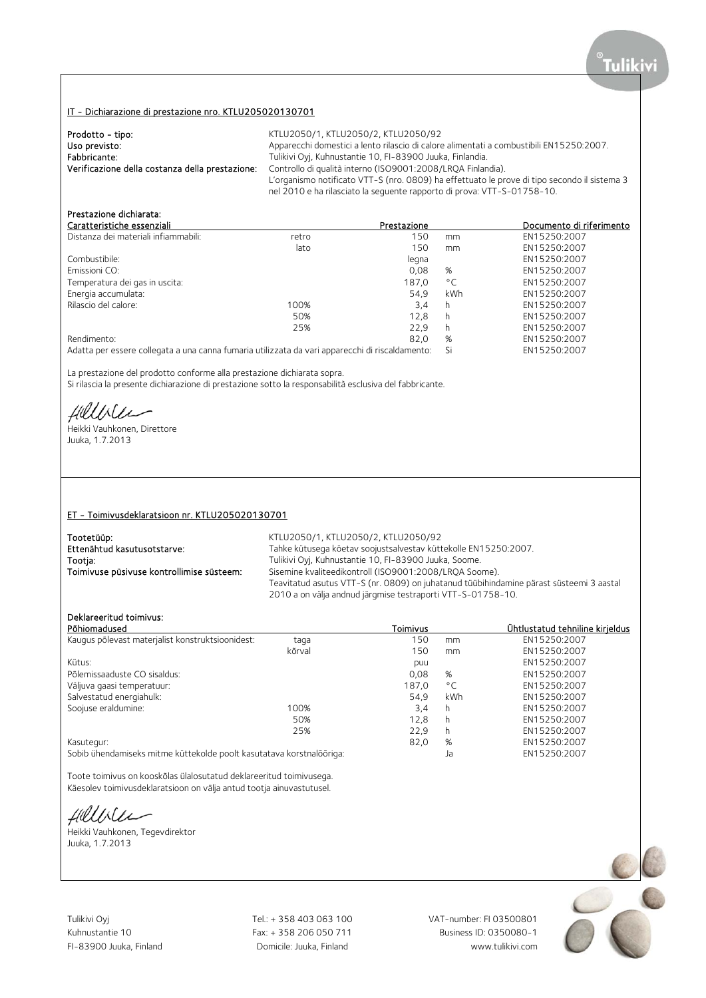# IT - Dichiarazione di prestazione nro. KTLU205020130701

| Prodotto - tipo:                                | KTLU2050/1, KTLU2050/2, KTLU2050/92                                                          |
|-------------------------------------------------|----------------------------------------------------------------------------------------------|
| Uso previsto:                                   | Apparecchi domestici a lento rilascio di calore alimentati a combustibili EN15250:2007.      |
| Fabbricante:                                    | Tulikivi Oyj, Kuhnustantie 10, FI-83900 Juuka, Finlandia.                                    |
| Verificazione della costanza della prestazione: | Controllo di qualità interno (ISO9001:2008/LROA Finlandia).                                  |
|                                                 | L'organismo notificato VTT-S (nro. 0809) ha effettuato le prove di tipo secondo il sistema 3 |
|                                                 | nel 2010 e ha rilasciato la seguente rapporto di prova: VTT-S-01758-10.                      |

# Prestazione dichiarata:

| Caratteristiche essenziali                                                                      |       | Prestazione |              | Documento di riferimento |
|-------------------------------------------------------------------------------------------------|-------|-------------|--------------|--------------------------|
| Distanza dei materiali infiammabili:                                                            | retro | 150         | mm           | EN15250:2007             |
|                                                                                                 | lato  | 150         | mm           | EN15250:2007             |
| Combustibile:                                                                                   |       | legna       |              | EN15250:2007             |
| Emissioni CO:                                                                                   |       | 0,08        | %            | EN15250:2007             |
| Temperatura dei gas in uscita:                                                                  |       | 187,0       | $^{\circ}$ C | EN15250:2007             |
| Energia accumulata:                                                                             |       | 54.9        | kWh          | EN15250:2007             |
| Rilascio del calore:                                                                            | 100%  | 3.4         | h            | EN15250:2007             |
|                                                                                                 | 50%   | 12.8        | h            | EN15250:2007             |
|                                                                                                 | 25%   | 22.9        | h            | EN15250:2007             |
| Rendimento:                                                                                     |       | 82.0        | %            | EN15250:2007             |
| Adatta per essere collegata a una canna fumaria utilizzata da vari apparecchi di riscaldamento: |       |             | Si           | EN15250:2007             |

La prestazione del prodotto conforme alla prestazione dichiarata sopra.

Si rilascia la presente dichiarazione di prestazione sotto la responsabilità esclusiva del fabbricante.

Hillble

Heikki Vauhkonen, Direttore Juuka, 1.7.2013

### ET - Toimivusdeklaratsioon nr. KTLU205020130701

| Tootetüüp:                                | KTLU2050/1, KTLU2050/2, KTLU2050/92                                                     |
|-------------------------------------------|-----------------------------------------------------------------------------------------|
| Ettenähtud kasutusotstarve:               | Tahke kütusega köetav soojustsalvestav küttekolle EN15250:2007.                         |
| Tootja:                                   | Tulikivi Oyj, Kuhnustantie 10, FI-83900 Juuka, Soome.                                   |
| Toimivuse püsivuse kontrollimise süsteem: | Sisemine kvaliteedikontroll (ISO9001:2008/LROA Soome).                                  |
|                                           | Teavitatud asutus VTT-S (nr. 0809) on juhatanud tüübihindamine pärast süsteemi 3 aastal |
|                                           | 2010 a on välja andnud järgmise testraporti VTT-S-01758-10.                             |

## Deklareeritud toimivus:

| Põhiomadused                                                         |        | Toimivus |              | Ühtlustatud tehniline kirjeldus |
|----------------------------------------------------------------------|--------|----------|--------------|---------------------------------|
| Kaugus põlevast materjalist konstruktsioonidest:                     | taga   | 150      | mm           | EN15250:2007                    |
|                                                                      | kõrval | 150      | mm           | EN15250:2007                    |
| Kütus:                                                               |        | puu      |              | EN15250:2007                    |
| Põlemissaaduste CO sisaldus:                                         |        | 0.08     | %            | EN15250:2007                    |
| Väljuva gaasi temperatuur:                                           |        | 187.0    | $^{\circ}$ C | EN15250:2007                    |
| Salvestatud energiahulk:                                             |        | 54.9     | kWh          | EN15250:2007                    |
| Soojuse eraldumine:                                                  | 100%   | 3,4      | h            | EN15250:2007                    |
|                                                                      | 50%    | 12,8     | h            | EN15250:2007                    |
|                                                                      | 25%    | 22.9     | h            | EN15250:2007                    |
| Kasutegur:                                                           |        | 82,0     | %            | EN15250:2007                    |
| Sobib ühendamiseks mitme küttekolde poolt kasutatava korstnalõõriga: |        |          | Ja           | EN15250:2007                    |

Toote toimivus on kooskõlas ülalosutatud deklareeritud toimivusega. Käesolev toimivusdeklaratsioon on välja antud tootja ainuvastutusel.

fillble

Heikki Vauhkonen, Tegevdirektor Juuka, 1.7.2013

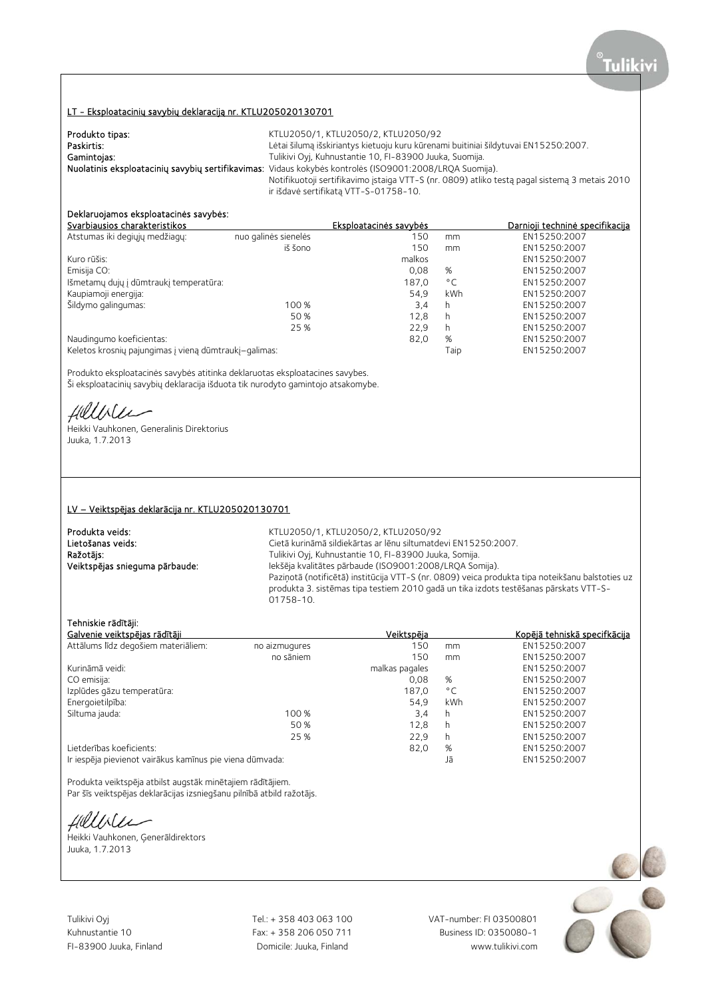## LT - Eksploatacinių savybių deklaraciją nr. KTLU205020130701

| Produkto tipas: | KTLU2050/1. KTLU2050/2. KTLU2050/92                                                                     |
|-----------------|---------------------------------------------------------------------------------------------------------|
| Paskirtis:      | Lėtai šilumą išskiriantys kietuoju kuru kūrenami buitiniai šildytuvai EN15250:2007.                     |
| Gamintojas:     | Tulikivi Oyj, Kuhnustantie 10, FI-83900 Juuka, Suomija.                                                 |
|                 | Nuolatinis eksploatacinių savybių sertifikavimas: Vidaus kokybės kontrolės (ISO9001:2008/LRQA Suomija). |
|                 | Notifikuotoji sertifikavimo įstaiga VTT-S (nr. 0809) atliko testą pagal sistemą 3 metais 2010           |
|                 | ir išdavė sertifikatą VTT-S-01758-10.                                                                   |

# Deklaruojamos eksploatacinės savybės:

| Svarbiausios charakteristikos                         |                      | Eksploatacinės savybės |              | Darnioji techninė specifikacija |
|-------------------------------------------------------|----------------------|------------------------|--------------|---------------------------------|
| Atstumas iki degiųjų medžiagų:                        | nuo galinės sienelės | 150                    | mm           | EN15250:2007                    |
|                                                       | iš šono              | 150                    | mm           | EN15250:2007                    |
| Kuro rūšis:                                           |                      | malkos                 |              | EN15250:2007                    |
| Emisija CO:                                           |                      | 0.08                   | %            | EN15250:2007                    |
| Išmetamų dujų į dūmtraukį temperatūra:                |                      | 187.0                  | $^{\circ}$ C | EN15250:2007                    |
| Kaupiamoji energija:                                  |                      | 54.9                   | <b>kWh</b>   | EN15250:2007                    |
| Šildymo galingumas:                                   | 100 %                | 3.4                    | h            | EN15250:2007                    |
|                                                       | 50 %                 | 12,8                   | h            | EN15250:2007                    |
|                                                       | 25 %                 | 22.9                   | h            | EN15250:2007                    |
| Naudingumo koeficientas:                              |                      | 82,0                   | %            | EN15250:2007                    |
| Keletos krosnių pajungimas į vieną dūmtraukį–galimas: |                      |                        | Taip         | EN15250:2007                    |

Produkto eksploatacinės savybės atitinka deklaruotas eksploatacines savybes. Ši eksploatacinių savybių deklaracija išduota tik nurodyto gamintojo atsakomybe.

Hillble

Heikki Vauhkonen, Generalinis Direktorius Juuka, 1.7.2013

#### LV – Veiktspējas deklarācija nr. KTLU205020130701

**Produkta veids:** KTLU2050/1, KTLU2050/2, KTLU2050/92<br> **Lietošanas veids:** Katalina veids: Kurināmā sildiekārtas ar lēnu siltumatde Lietošanas veids: Cietā kurināmā sildiekārtas ar lēnu siltumatdevi EN15250:2007.<br>
Ražotājs: Cietā kurināmā sildiekārtas ar Tulikivi Oyj, Kuhnustantie 10, FI-83900 Juuka, Somija. Ražotājs: Tulikivi Oyj, Kuhnustantie 10, FI-83900 Juuka, Somija. Iekšēja kvalitātes pārbaude (ISO9001:2008/LRQA Somija). Paziņotā (notificētā) institūcija VTT-S (nr. 0809) veica produkta tipa noteikšanu balstoties uz produkta 3. sistēmas tipa testiem 2010 gadā un tika izdots testēšanas pārskats VTT-S-01758-10.

## Tehniskie rādītāji:

| Galvenie veiktspējas rādītāji                            |               | Veiktspēja     |              | Kopējā tehniskā specifkācija |
|----------------------------------------------------------|---------------|----------------|--------------|------------------------------|
| Attālums līdz degošiem materiāliem:                      | no aizmugures | 150            | mm           | EN15250:2007                 |
|                                                          | no sāniem     | 150            | mm           | EN15250:2007                 |
| Kurināmā veidi:                                          |               | malkas pagales |              | EN15250:2007                 |
| CO emisija:                                              |               | 0,08           | %            | EN15250:2007                 |
| Izplūdes gāzu temperatūra:                               |               | 187.0          | $^{\circ}$ C | EN15250:2007                 |
| Energoietilpība:                                         |               | 54.9           | kWh          | EN15250:2007                 |
| Siltuma jauda:                                           | 100 %         | 3,4            | h            | EN15250:2007                 |
|                                                          | 50 %          | 12.8           | h            | EN15250:2007                 |
|                                                          | 25 %          | 22.9           | h            | EN15250:2007                 |
| Lietderības koeficients:                                 |               | 82,0           | %            | EN15250:2007                 |
| Ir iespēja pievienot vairākus kamīnus pie viena dūmvada: |               |                | Jā           | EN15250:2007                 |

Produkta veiktspēja atbilst augstāk minētajiem rādītājiem. Par šīs veiktspējas deklarācijas izsniegšanu pilnībā atbild ražotājs.

Hillble

Heikki Vauhkonen, Ģenerāldirektors Juuka, 1.7.2013

Tulikivi Oyj Tel.: + 358 403 063 100 VAT-number: FI 03500801

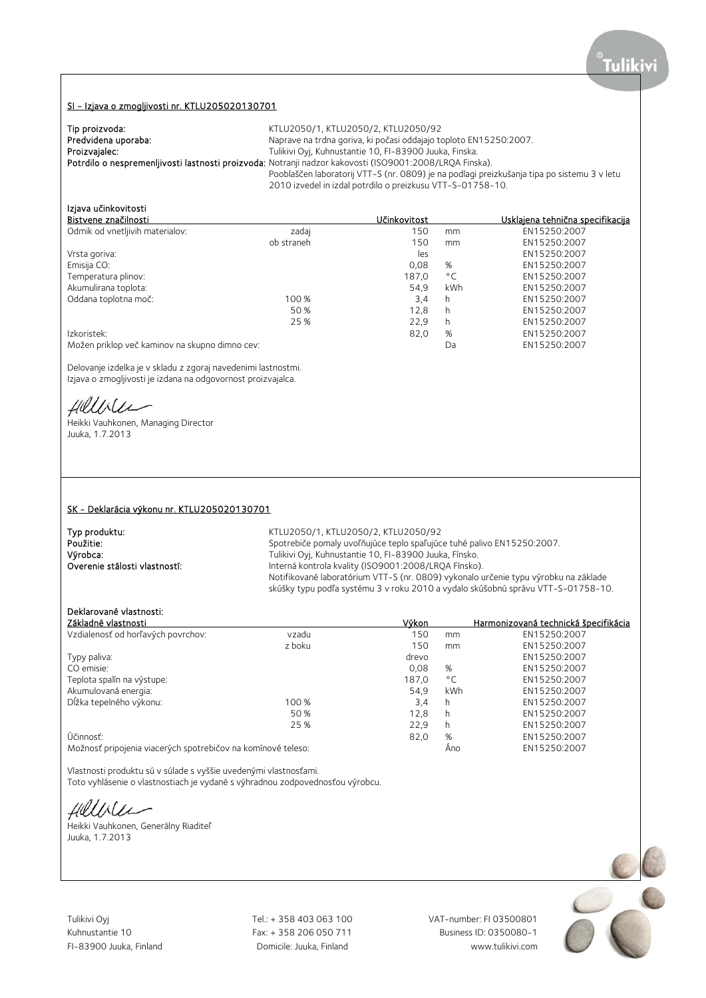#### SI - Izjava o zmogljivosti nr. KTLU205020130701

| Tip proizvoda:      | KTLU2050/1, KTLU2050/2, KTLU2050/92                                                                     |
|---------------------|---------------------------------------------------------------------------------------------------------|
| Predvidena uporaba: | Naprave na trdna goriva, ki počasi oddajajo toploto EN15250:2007.                                       |
| Proizvajalec:       | Tulikivi Oyj, Kuhnustantie 10, FI-83900 Juuka, Finska.                                                  |
|                     | Potrdilo o nespremenljivosti lastnosti proizvoda: Notranji nadzor kakovosti (ISO9001:2008/LROA Finska). |
|                     | Pooblaščen laboratorij VTT-S (nr. 0809) je na podlagi preizkušanja tipa po sistemu 3 v letu             |
|                     | 2010 izvedel in izdal potrdilo o preizkusu VTT-S-01758-10.                                              |

# Izjava učinkovitosti

| <b>ILIAVA ULIIINUVILUSLI</b>                   |            |              |              |                                  |
|------------------------------------------------|------------|--------------|--------------|----------------------------------|
| Bistvene značilnosti                           |            | Učinkovitost |              | Usklajena tehnična specifikacija |
| Odmik od vnetljivih materialov:                | zadaj      | 150          | mm           | EN15250:2007                     |
|                                                | ob straneh | 150          | mm           | EN15250:2007                     |
| Vrsta goriva:                                  |            | les          |              | EN15250:2007                     |
| Emisija CO:                                    |            | 0,08         | %            | EN15250:2007                     |
| Temperatura plinov:                            |            | 187.0        | $^{\circ}$ C | EN15250:2007                     |
| Akumulirana toplota:                           |            | 54.9         | kWh          | EN15250:2007                     |
| Oddana toplotna moč:                           | 100 %      | 3,4          | h            | EN15250:2007                     |
|                                                | 50 %       | 12.8         | h.           | EN15250:2007                     |
|                                                | 25 %       | 22,9         | h            | EN15250:2007                     |
| Izkoristek:                                    |            | 82,0         | %            | EN15250:2007                     |
| Možen priklop več kaminov na skupno dimno cev: |            |              | Da           | EN15250:2007                     |

Delovanje izdelka je v skladu z zgoraj navedenimi lastnostmi. Izjava o zmogljivosti je izdana na odgovornost proizvajalca.

Hillble

Heikki Vauhkonen, Managing Director Juuka, 1.7.2013

#### SK - Deklarácia výkonu nr. KTLU205020130701

**Typ produktu:**<br> **RELU2050/2, KTLU2050/92**<br>
Spotrebiče pomaly uvoľňujúce teplo spaľujúc Použitie:<br>
Spotrebiče pomaly uvoľňujúce teplo spaľujúce tuhé palivo EN15250:2007.<br>
Výrobca: Spotrebiče pomalistické profesor (FI-83900 Juuka, Fínsko. Výrobca: Tulikivi Oyj, Kuhnustantie 10, FI-83900 Juuka, Fínsko. Interná kontrola kvality (ISO9001:2008/LRQA Fínsko). Notifikované laboratórium VTT-S (nr. 0809) vykonalo určenie typu výrobku na základe skúšky typu podľa systému 3 v roku 2010 a vydalo skúšobnú správu VTT-S-01758-10.

## Deklarované vlastnosti:

| Základné vlastnosti                                          |        | Výkon |              | Harmonizovaná technická špecifikácia |
|--------------------------------------------------------------|--------|-------|--------------|--------------------------------------|
| Vzdialenosť od horľavých povrchov:                           | vzadu  | 150   | mm           | EN15250:2007                         |
|                                                              | z boku | 150   | mm           | EN15250:2007                         |
| Typy paliva:                                                 |        | drevo |              | EN15250:2007                         |
| CO emisie:                                                   |        | 0.08  | %            | EN15250:2007                         |
| Teplota spalín na výstupe:                                   |        | 187.0 | $^{\circ}$ C | EN15250:2007                         |
| Akumulovaná energia:                                         |        | 54.9  | kWh          | EN15250:2007                         |
| Dĺžka tepelného výkonu:                                      | 100 %  | 3,4   | h            | EN15250:2007                         |
|                                                              | 50 %   | 12.8  | h            | EN15250:2007                         |
|                                                              | 25 %   | 22.9  | h            | EN15250:2007                         |
| Účinnosť:                                                    |        | 82,0  | %            | EN15250:2007                         |
| Možnosť pripojenia viacerých spotrebičov na komínové teleso: |        |       | Ano          | EN15250:2007                         |

Vlastnosti produktu sú v súlade s vyššie uvedenými vlastnosťami. Toto vyhlásenie o vlastnostiach je vydané s výhradnou zodpovednosťou výrobcu.

fillbiler

Heikki Vauhkonen, Generálny Riaditeľ Juuka, 1.7.2013